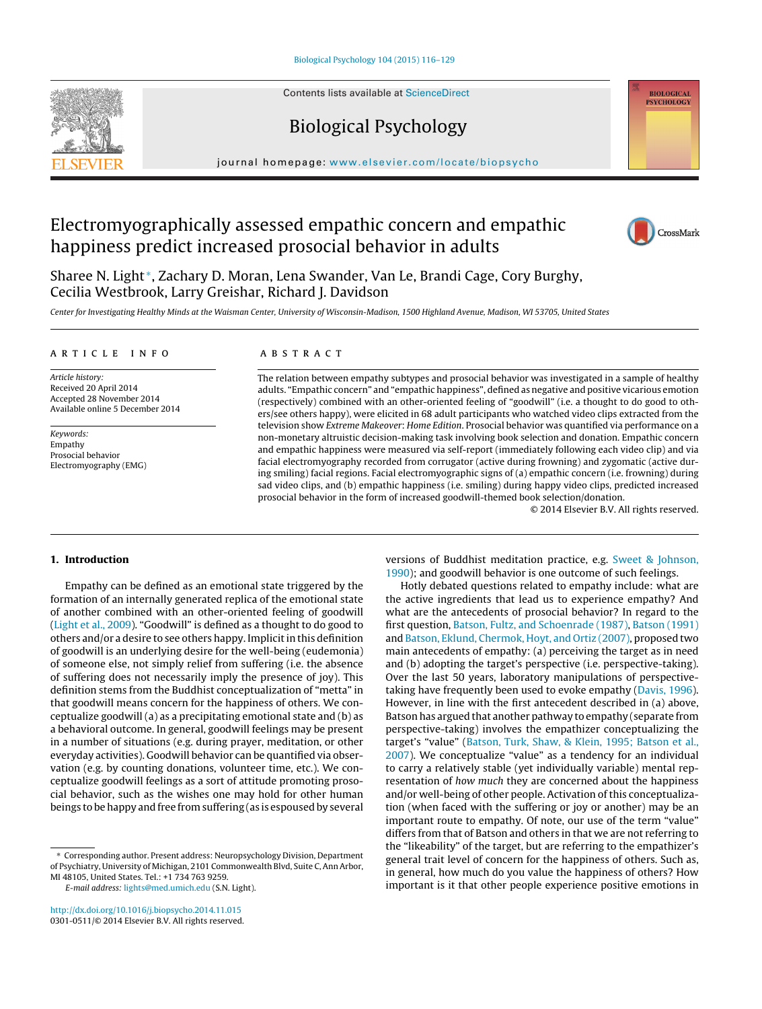Contents lists available at [ScienceDirect](http://www.sciencedirect.com/science/journal/03010511)





## Biological Psychology

iournal homepage: [www.elsevier.com/locate/biopsycho](http://www.elsevier.com/locate/biopsycho)

## Electromyographically assessed empathic concern and empathic happiness predict increased prosocial behavior in adults



Sharee N. Light <sup>∗</sup>, Zachary D. Moran, Lena Swander, Van Le, Brandi Cage, Cory Burghy, Cecilia Westbrook, Larry Greishar, Richard J. Davidson

Center for Investigating Healthy Minds at the Waisman Center, University of Wisconsin-Madison, 1500 Highland Avenue, Madison, WI 53705, United States

#### a r t i c l e i n f o

Article history: Received 20 April 2014 Accepted 28 November 2014 Available online 5 December 2014

Keywords: Empathy Prosocial behavior Electromyography (EMG)

#### A B S T R A C T

The relation between empathy subtypes and prosocial behavior was investigated in a sample of healthy adults. "Empathic concern" and "empathic happiness", defined as negative and positive vicarious emotion (respectively) combined with an other-oriented feeling of "goodwill" (i.e. a thought to do good to others/see others happy), were elicited in 68 adult participants who watched video clips extracted from the television show Extreme Makeover: Home Edition. Prosocial behavior was quantified via performance on a non-monetary altruistic decision-making task involving book selection and donation. Empathic concern and empathic happiness were measured via self-report (immediately following each video clip) and via facial electromyography recorded from corrugator (active during frowning) and zygomatic (active during smiling) facial regions. Facial electromyographic signs of (a) empathic concern (i.e. frowning) during sad video clips, and (b) empathic happiness (i.e. smiling) during happy video clips, predicted increased prosocial behavior in the form of increased goodwill-themed book selection/donation.

© 2014 Elsevier B.V. All rights reserved.

#### **1. Introduction**

Empathy can be defined as an emotional state triggered by the formation of an internally generated replica of the emotional state of another combined with an other-oriented feeling of goodwill ([Light](#page--1-0) et [al.,](#page--1-0) [2009\).](#page--1-0) "Goodwill" is defined as a thought to do good to others and/or a desire to see others happy. Implicit in this definition of goodwill is an underlying desire for the well-being (eudemonia) of someone else, not simply relief from suffering (i.e. the absence of suffering does not necessarily imply the presence of joy). This definition stems from the Buddhist conceptualization of "metta" in that goodwill means concern for the happiness of others. We conceptualize goodwill (a) as a precipitating emotional state and (b) as a behavioral outcome. In general, goodwill feelings may be present in a number of situations (e.g. during prayer, meditation, or other everyday activities). Goodwill behavior can be quantified via observation (e.g. by counting donations, volunteer time, etc.). We conceptualize goodwill feelings as a sort of attitude promoting prosocial behavior, such as the wishes one may hold for other human beings to be happy and free from suffering (as is espoused by several

[http://dx.doi.org/10.1016/j.biopsycho.2014.11.015](dx.doi.org/10.1016/j.biopsycho.2014.11.015) 0301-0511/© 2014 Elsevier B.V. All rights reserved. versions of Buddhist meditation practice, e.g. [Sweet](#page--1-0) [&](#page--1-0) [Johnson,](#page--1-0) [1990\);](#page--1-0) and goodwill behavior is one outcome of such feelings.

Hotly debated questions related to empathy include: what are the active ingredients that lead us to experience empathy? And what are the antecedents of prosocial behavior? In regard to the first question, [Batson,](#page--1-0) [Fultz,](#page--1-0) [and](#page--1-0) [Schoenrade](#page--1-0) [\(1987\),](#page--1-0) [Batson](#page--1-0) [\(1991\)](#page--1-0) and [Batson,](#page--1-0) [Eklund,](#page--1-0) [Chermok,](#page--1-0) [Hoyt,](#page--1-0) [and](#page--1-0) [Ortiz](#page--1-0) [\(2007\),](#page--1-0) proposed two main antecedents of empathy: (a) perceiving the target as in need and (b) adopting the target's perspective (i.e. perspective-taking). Over the last 50 years, laboratory manipulations of perspectivetaking have frequently been used to evoke empathy ([Davis,](#page--1-0) [1996\).](#page--1-0) However, in line with the first antecedent described in (a) above, Batson has argued that another pathway to empathy (separate from perspective-taking) involves the empathizer conceptualizing the target's "value" [\(Batson,](#page--1-0) [Turk,](#page--1-0) [Shaw,](#page--1-0) [&](#page--1-0) [Klein,](#page--1-0) [1995;](#page--1-0) [Batson](#page--1-0) et [al.,](#page--1-0) [2007\).](#page--1-0) We conceptualize "value" as a tendency for an individual to carry a relatively stable (yet individually variable) mental representation of how much they are concerned about the happiness and/or well-being of other people. Activation of this conceptualization (when faced with the suffering or joy or another) may be an important route to empathy. Of note, our use of the term "value" differs from that of Batson and others in that we are not referring to the "likeability" of the target, but are referring to the empathizer's general trait level of concern for the happiness of others. Such as, in general, how much do you value the happiness of others? How important is it that other people experience positive emotions in

<sup>∗</sup> Corresponding author. Present address: Neuropsychology Division, Department of Psychiatry, University of Michigan, 2101 Commonwealth Blvd, Suite C, Ann Arbor, MI 48105, United States. Tel.: +1 734 763 9259.

E-mail address: [lights@med.umich.edu](mailto:lights@med.umich.edu) (S.N. Light).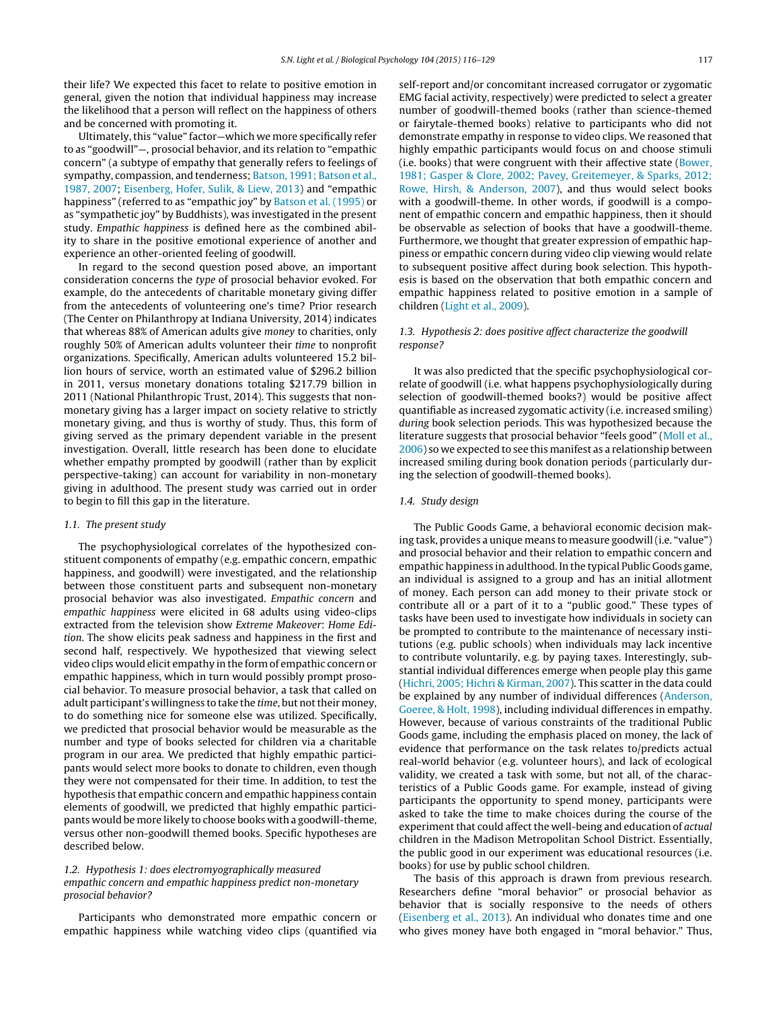their life? We expected this facet to relate to positive emotion in general, given the notion that individual happiness may increase the likelihood that a person will reflect on the happiness of others and be concerned with promoting it.

Ultimately, this "value" factor-which we more specifically refer to as "goodwill"—, prosocial behavior, and its relation to "empathic concern" (a subtype of empathy that generally refers to feelings of sympathy, compassion, and tenderness; [Batson,](#page--1-0) [1991;](#page--1-0) [Batson](#page--1-0) et [al.,](#page--1-0) [1987,](#page--1-0) [2007;](#page--1-0) [Eisenberg,](#page--1-0) [Hofer,](#page--1-0) [Sulik,](#page--1-0) [&](#page--1-0) [Liew,](#page--1-0) [2013\)](#page--1-0) and "empathic happiness" (referred to as "empathic joy" by [Batson](#page--1-0) et [al.](#page--1-0) [\(1995\)](#page--1-0) or as "sympathetic joy" by Buddhists), was investigated in the present study. Empathic happiness is defined here as the combined ability to share in the positive emotional experience of another and experience an other-oriented feeling of goodwill.

In regard to the second question posed above, an important consideration concerns the type of prosocial behavior evoked. For example, do the antecedents of charitable monetary giving differ from the antecedents of volunteering one's time? Prior research (The Center on Philanthropy at Indiana University, 2014) indicates that whereas 88% of American adults give money to charities, only roughly 50% of American adults volunteer their time to nonprofit organizations. Specifically, American adults volunteered 15.2 billion hours of service, worth an estimated value of \$296.2 billion in 2011, versus monetary donations totaling \$217.79 billion in 2011 (National Philanthropic Trust, 2014). This suggests that nonmonetary giving has a larger impact on society relative to strictly monetary giving, and thus is worthy of study. Thus, this form of giving served as the primary dependent variable in the present investigation. Overall, little research has been done to elucidate whether empathy prompted by goodwill (rather than by explicit perspective-taking) can account for variability in non-monetary giving in adulthood. The present study was carried out in order to begin to fill this gap in the literature.

#### 1.1. The present study

The psychophysiological correlates of the hypothesized constituent components of empathy (e.g. empathic concern, empathic happiness, and goodwill) were investigated, and the relationship between those constituent parts and subsequent non-monetary prosocial behavior was also investigated. Empathic concern and empathic happiness were elicited in 68 adults using video-clips extracted from the television show Extreme Makeover: Home Edition. The show elicits peak sadness and happiness in the first and second half, respectively. We hypothesized that viewing select video clips would elicit empathy in the form of empathic concern or empathic happiness, which in turn would possibly prompt prosocial behavior. To measure prosocial behavior, a task that called on adult participant's willingness to take the *time*, but not their money, to do something nice for someone else was utilized. Specifically, we predicted that prosocial behavior would be measurable as the number and type of books selected for children via a charitable program in our area. We predicted that highly empathic participants would select more books to donate to children, even though they were not compensated for their time. In addition, to test the hypothesis that empathic concern and empathic happiness contain elements of goodwill, we predicted that highly empathic participants would be more likely to choose books with a goodwill-theme, versus other non-goodwill themed books. Specific hypotheses are described below.

### 1.2. Hypothesis 1: does electromyographically measured empathic concern and empathic happiness predict non-monetary prosocial behavior?

Participants who demonstrated more empathic concern or empathic happiness while watching video clips (quantified via self-report and/or concomitant increased corrugator or zygomatic EMG facial activity, respectively) were predicted to select a greater number of goodwill-themed books (rather than science-themed or fairytale-themed books) relative to participants who did not demonstrate empathy in response to video clips. We reasoned that highly empathic participants would focus on and choose stimuli (i.e. books) that were congruent with their affective state [\(Bower,](#page--1-0) [1981;](#page--1-0) [Gasper](#page--1-0) [&](#page--1-0) [Clore,](#page--1-0) [2002;](#page--1-0) [Pavey,](#page--1-0) [Greitemeyer,](#page--1-0) [&](#page--1-0) [Sparks,](#page--1-0) [2012;](#page--1-0) [Rowe,](#page--1-0) [Hirsh,](#page--1-0) [&](#page--1-0) [Anderson,](#page--1-0) [2007\),](#page--1-0) and thus would select books with a goodwill-theme. In other words, if goodwill is a component of empathic concern and empathic happiness, then it should be observable as selection of books that have a goodwill-theme. Furthermore, we thought that greater expression of empathic happiness or empathic concern during video clip viewing would relate to subsequent positive affect during book selection. This hypothesis is based on the observation that both empathic concern and empathic happiness related to positive emotion in a sample of children [\(Light](#page--1-0) et [al.,](#page--1-0) [2009\).](#page--1-0)

#### 1.3. Hypothesis 2: does positive affect characterize the goodwill response?

It was also predicted that the specific psychophysiological correlate of goodwill (i.e. what happens psychophysiologically during selection of goodwill-themed books?) would be positive affect quantifiable as increased zygomatic activity (i.e. increased smiling) during book selection periods. This was hypothesized because the literature suggests that prosocial behavior "feels good" [\(Moll](#page--1-0) et [al.,](#page--1-0) [2006\)](#page--1-0) so we expected to see this manifest as a relationship between increased smiling during book donation periods (particularly during the selection of goodwill-themed books).

#### 1.4. Study design

The Public Goods Game, a behavioral economic decision making task, provides a unique means to measure goodwill(i.e. "value") and prosocial behavior and their relation to empathic concern and empathic happiness in adulthood. In the typical Public Goods game, an individual is assigned to a group and has an initial allotment of money. Each person can add money to their private stock or contribute all or a part of it to a "public good." These types of tasks have been used to investigate how individuals in society can be prompted to contribute to the maintenance of necessary institutions (e.g. public schools) when individuals may lack incentive to contribute voluntarily, e.g. by paying taxes. Interestingly, substantial individual differences emerge when people play this game [\(Hichri,](#page--1-0) [2005;](#page--1-0) [Hichri](#page--1-0) [&](#page--1-0) [Kirman,](#page--1-0) [2007\).](#page--1-0) This scatter in the data could be explained by any number of individual differences [\(Anderson,](#page--1-0) [Goeree,](#page--1-0) [&](#page--1-0) [Holt,](#page--1-0) [1998\),](#page--1-0) including individual differences in empathy. However, because of various constraints of the traditional Public Goods game, including the emphasis placed on money, the lack of evidence that performance on the task relates to/predicts actual real-world behavior (e.g. volunteer hours), and lack of ecological validity, we created a task with some, but not all, of the characteristics of a Public Goods game. For example, instead of giving participants the opportunity to spend money, participants were asked to take the time to make choices during the course of the experiment that could affect the well-being and education of actual children in the Madison Metropolitan School District. Essentially, the public good in our experiment was educational resources (i.e. books) for use by public school children.

The basis of this approach is drawn from previous research. Researchers define "moral behavior" or prosocial behavior as behavior that is socially responsive to the needs of others [\(Eisenberg](#page--1-0) et [al.,](#page--1-0) [2013\).](#page--1-0) An individual who donates time and one who gives money have both engaged in "moral behavior." Thus,